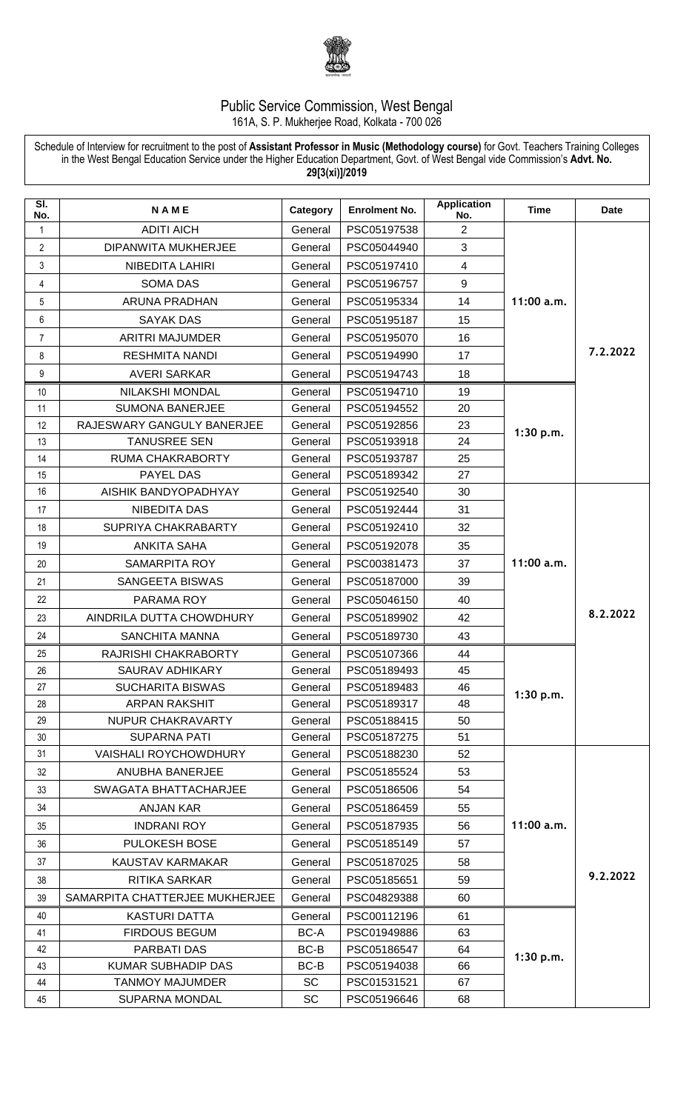

## Public Service Commission, West Bengal 161A, S. P. Mukherjee Road, Kolkata - 700 026

Schedule of Interview for recruitment to the post of **Assistant Professor in Music (Methodology course)** for Govt. Teachers Training Colleges in the West Bengal Education Service under the Higher Education Department, Govt. of West Bengal vide Commission's **Advt. No. 29[3(xi)]/2019**

| $\overline{\mathsf{SI}}$ .<br>No. | <b>NAME</b>                    | Category  | <b>Enrolment No.</b> | <b>Application</b><br>No. | <b>Time</b> | <b>Date</b> |
|-----------------------------------|--------------------------------|-----------|----------------------|---------------------------|-------------|-------------|
| 1                                 | <b>ADITI AICH</b>              | General   | PSC05197538          | 2                         |             | 7.2.2022    |
| $\overline{2}$                    | DIPANWITA MUKHERJEE            | General   | PSC05044940          | 3                         |             |             |
| 3                                 | NIBEDITA LAHIRI                | General   | PSC05197410          | $\overline{4}$            |             |             |
| 4                                 | <b>SOMA DAS</b>                | General   | PSC05196757          | 9                         |             |             |
| 5                                 | ARUNA PRADHAN                  | General   | PSC05195334          | 14                        | 11:00 a.m.  |             |
| 6                                 | <b>SAYAK DAS</b>               | General   | PSC05195187          | 15                        |             |             |
| $\overline{7}$                    | <b>ARITRI MAJUMDER</b>         | General   | PSC05195070          | 16                        |             |             |
| 8                                 | <b>RESHMITA NANDI</b>          | General   | PSC05194990          | 17                        |             |             |
| 9                                 | <b>AVERI SARKAR</b>            | General   | PSC05194743          | 18                        |             |             |
| 10                                | <b>NILAKSHI MONDAL</b>         | General   | PSC05194710          | 19                        |             |             |
| 11                                | <b>SUMONA BANERJEE</b>         | General   | PSC05194552          | 20                        |             |             |
| 12                                | RAJESWARY GANGULY BANERJEE     | General   | PSC05192856          | 23                        |             |             |
| 13                                | <b>TANUSREE SEN</b>            | General   | PSC05193918          | 24                        | 1:30 p.m.   |             |
| 14                                | <b>RUMA CHAKRABORTY</b>        | General   | PSC05193787          | 25                        |             |             |
| 15                                | PAYEL DAS                      | General   | PSC05189342          | 27                        |             |             |
| 16                                | AISHIK BANDYOPADHYAY           | General   | PSC05192540          | 30                        |             |             |
| 17                                | <b>NIBEDITA DAS</b>            | General   | PSC05192444          | 31                        | 11:00 a.m.  | 8.2.2022    |
| 18                                | SUPRIYA CHAKRABARTY            | General   | PSC05192410          | 32                        |             |             |
| 19                                | <b>ANKITA SAHA</b>             | General   | PSC05192078          | 35                        |             |             |
| 20                                | <b>SAMARPITA ROY</b>           | General   | PSC00381473          | 37                        |             |             |
| 21                                | SANGEETA BISWAS                | General   | PSC05187000          | 39                        |             |             |
| 22                                | PARAMA ROY                     | General   | PSC05046150          | 40                        |             |             |
| 23                                | AINDRILA DUTTA CHOWDHURY       | General   | PSC05189902          | 42                        |             |             |
| 24                                | <b>SANCHITA MANNA</b>          | General   | PSC05189730          | 43                        |             |             |
| 25                                | RAJRISHI CHAKRABORTY           | General   | PSC05107366          | 44                        |             |             |
| 26                                | <b>SAURAV ADHIKARY</b>         | General   | PSC05189493          | 45                        |             |             |
| 27                                | SUCHARITA BISWAS               | General   | PSC05189483          | 46                        | 1:30 p.m.   |             |
| 28                                | <b>ARPAN RAKSHIT</b>           | General   | PSC05189317          | 48                        |             |             |
| 29                                | NUPUR CHAKRAVARTY              | General   | PSC05188415          | 50                        |             |             |
| 30                                | <b>SUPARNA PATI</b>            | General   | PSC05187275          | 51                        |             |             |
| 31                                | <b>VAISHALI ROYCHOWDHURY</b>   | General   | PSC05188230          | 52                        |             | 9.2.2022    |
| 32                                | ANUBHA BANERJEE                | General   | PSC05185524          | 53                        |             |             |
| 33                                | SWAGATA BHATTACHARJEE          | General   | PSC05186506          | 54                        |             |             |
| 34                                | <b>ANJAN KAR</b>               | General   | PSC05186459          | 55                        | 11:00 a.m.  |             |
| 35                                | <b>INDRANI ROY</b>             | General   | PSC05187935          | 56                        |             |             |
| 36                                | <b>PULOKESH BOSE</b>           | General   | PSC05185149          | 57                        |             |             |
| 37                                | KAUSTAV KARMAKAR               | General   | PSC05187025          | 58                        |             |             |
| 38                                | <b>RITIKA SARKAR</b>           | General   | PSC05185651          | 59                        |             |             |
| 39                                | SAMARPITA CHATTERJEE MUKHERJEE | General   | PSC04829388          | 60                        |             |             |
| 40                                | <b>KASTURI DATTA</b>           | General   | PSC00112196          | 61                        |             |             |
| 41                                | <b>FIRDOUS BEGUM</b>           | BC-A      | PSC01949886          | 63                        |             |             |
| 42                                | PARBATI DAS                    | BC-B      | PSC05186547          | 64                        | 1:30 p.m.   |             |
| 43                                | <b>KUMAR SUBHADIP DAS</b>      | BC-B      | PSC05194038          | 66                        |             |             |
| 44                                | <b>TANMOY MAJUMDER</b>         | <b>SC</b> | PSC01531521          | 67                        |             |             |
| 45                                | <b>SUPARNA MONDAL</b>          | SC        | PSC05196646          | 68                        |             |             |